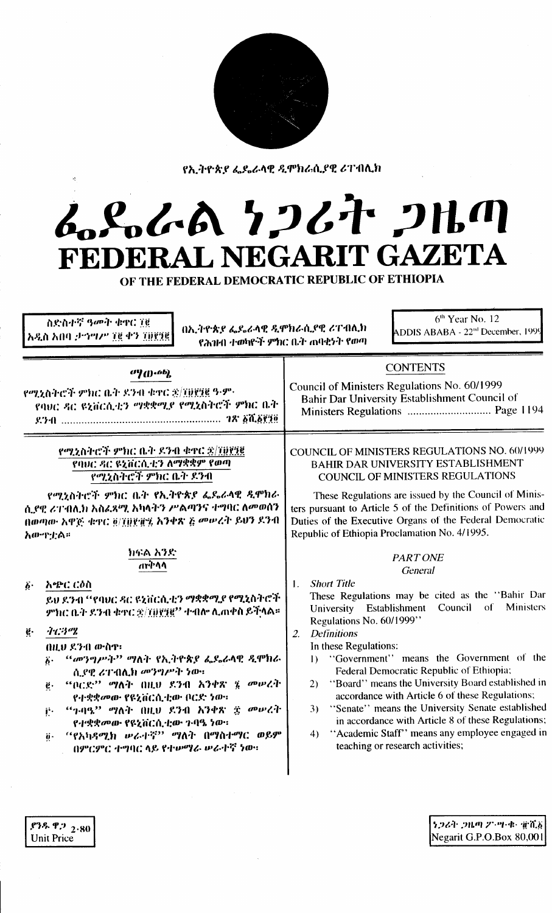

የኢትዮጵያ ፌዴራላዊ ዲሞክራሲያዊ ሪፐብሊክ

# んぺんへ とつびれ つルの FEDERAL NEGARIT GAZETA

OF THE FEDERAL DEMOCRATIC REPUBLIC OF ETHIOPIA

6<sup>th</sup> Year No. 12 ስድስተኛ ዓመት ቁዋር ፲፪ በኢትዮጵያ ፌዴራላዊ ዲሞክራሲያዊ ሪፐብሊክ **DDIS ABABA** - 22<sup>nd</sup> December, 1999 አዲስ አበባ ታኅግሥ ፲፪ ቀን ፲፱፻፺፪ የሕንቱት ተወካዮች ምክር ቤት ጠባቂነት የወጣ **CONTENTS**  $^{10}$  (l)  $^{16}$ Council of Ministers Regulations No. 60/1999 የሚኒስትሮች ምክር ቤት ደንብ ቁዋር ቋ/፲፱፻፶፪ ዓ-ም Bahir Dar University Establishment Council of የባህር ዳር ዩኒቨርሲቲን ማቋቋሚያ የሚኒስትሮች ምክር ቤት Ministers Regulations ................................... Page 1194 የሚኒስትሮች ምክር ቤት ዶንብ ቁዋር ቋ/፲፱፻፺፪ COUNCIL OF MINISTERS REGULATIONS NO. 60/1999 የባህር ዳር ዩኒቨርሲቲን ለማቋቋም የወጣ **BAHIR DAR UNIVERSITY ESTABLISHMENT** የሚኒስትሮች ምክር ቤት ደንብ **COUNCIL OF MINISTERS REGULATIONS** የሚኒስትሮች ምክር ቤት የኢትዮጵያ ፌዴራላዊ ዲሞክራ These Regulations are issued by the Council of Minis-ሲያዊ ሪፐብሊክ አስሬጻሚ አካላትን ሥልጣንና ተግባር ለመወሰን ters pursuant to Article 5 of the Definitions of Powers and Duties of the Executive Organs of the Federal Democratic በወጣው አዋጅ ቁተር @/ti)የተገ አንቀጽ ፩ መሠረት ይህን ደንብ Republic of Ethiopia Proclamation No. 4/1995. አውዋቷል። ክፍል አንድ PART ONE ጠዋላላ **General Short Title**  $\mathbf{I}$ . አጭር ርዕስ  $\ddot{b}$ . These Regulations may be cited as the "Bahir Dar ይህ ደንብ ''የባህር ዳር ዩኒቨርሲቲን ማቋቋሚያ የሚኒስትሮች University Establishment Council of Ministers ምክር ቤት ደንብ ቁተር <u>ቋ/፲፱፻</u>፪" ተብሎ ሊጠቀስ ይችላል። Regulations No. 60/1999"  $4.74%$  $\ddot{e}$  $2.$ **Definitions** በዚህ ደንብ ውስዋ፡ In these Regulations: *"መንግሥት" ማ*ለት የኢትዮጵያ ፌያሬላዊ ዲሞክራ "Government" means the Government of the  $\mathbf{D}$  $\ddot{\boldsymbol{b}}$ . Federal Democratic Republic of Ethiopia; ሲያዊ ሪፐብሊክ መንግሥት ነው። 2) "Board" means the University Board established in - "ቦርደ<sup>ን</sup>' *ግ*ለት በዚህ ደንብ አንቀጽ ፯ *መ*ሥረት  $\boldsymbol{\varrho}$ . accordance with Article 6 of these Regulations; የተቋቋመው የዩኒቨርሲቲው ቦርድ ነው። 3) "Senate" means the University Senate established - "40%" *ማ*ለት በዚህ ደንብ አንቀጽ ፳ *መ*ሥረት ji. in accordance with Article 8 of these Regulations; የተቋቋመው የዩኒቨርሲቲው ጉባዔ ነው። 4) "Academic Staff" means any employee engaged in "የአካዳሚክ ውራተኛ" ማለት በማስተማር ወይም  $\ddot{\mathbf{0}}$  . teaching or research activities; በምርምር ተግባር ላይ የተሠማራ ሥራተኛ ነው።

.<br>የንዱ ዋ.<sup>ን</sup> 2-80

**Unit Price** 

ነጋሪት ጋዜጣ ፖ-ሣ-ቁ- ፹ሺ፩ Negarit G.P.O.Box 80,001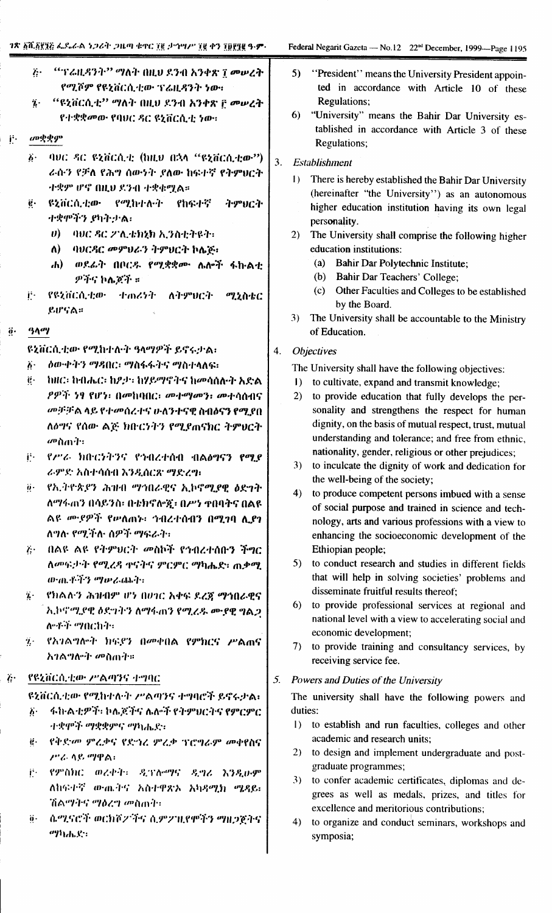| j.                    | "ፕሬዚዳንት" ማለት በዚህ ደንብ አንቀጽ ፲ መሠረት<br>$\ddot{k}$<br>የሚሾም የዩኒቨርሲቲው ፕሬዚዳንት ነው።<br>"ዩኒቨርሲቲ" ማለት በዚህ ደንብ አንቀጽ ፫ መሠረት<br>$\dddot{\imath}$ .<br>የተቋቋመው የባህር ዳር ዩኒቨርሲቲ ነው።<br>መቋቋም |    | 5)<br>"President" means the University President appoin-<br>ted in accordance with Article 10 of these<br>Regulations;<br>"University" means the Bahir Dar University es-<br>6)<br>tablished in accordance with Article 3 of these<br>Regulations; |  |  |
|-----------------------|---------------------------------------------------------------------------------------------------------------------------------------------------------------------------|----|----------------------------------------------------------------------------------------------------------------------------------------------------------------------------------------------------------------------------------------------------|--|--|
|                       | - ባፀር-ዳር-ዩኒቨርሲቲ (ከዚፀ-በኋላ-"ዩኒቨርሲቲው")<br>$\ddot{\mathbf{c}}$ .                                                                                                              | 3. | <b>Establishment</b>                                                                                                                                                                                                                               |  |  |
|                       | ራሱን የቻለ የሕግ ሰውነት ያለው ክፍተኛ የትምሀርት<br>ተቋም ሆኖ በዚህ ደንብ ተቋቁሟል።                                                                                                                 |    | There is hereby established the Bahir Dar University<br>$\mathbf{D}$                                                                                                                                                                               |  |  |
|                       | ዩኒቨርሲቲው የሚከተሉት የከፍተኛ<br>ትምህርት<br>$\mathbf{e}\cdot$<br>ተቋምችን ያካትታል፡                                                                                                        |    | (hereinafter "the University") as an autonomous<br>higher education institution having its own legal<br>personality.                                                                                                                               |  |  |
|                       | $\boldsymbol{\theta}$<br>-ባሀር ዳር 2ገሊቴክኒክ ኢንስቲትዩት፣                                                                                                                         |    | 2)<br>The University shall comprise the following higher                                                                                                                                                                                           |  |  |
|                       | ባህርዳር መምህራን ትምህርት ኮሌጅ፣<br>$\Lambda$                                                                                                                                       |    | education institutions:<br>Bahir Dar Polytechnic Institute;<br>(a)                                                                                                                                                                                 |  |  |
|                       | ወደፊት በቦርዱ የሚቋቋሙ ሌሎች ፋኩልቲ<br>$\mathbf{d}$<br>ዎችና ኮሌጆች ።                                                                                                                    |    | Bahir Dar Teachers' College;<br>(b)                                                                                                                                                                                                                |  |  |
|                       | የዩንቨርሲቲው<br>オーカンディー<br>ハイダリムネ<br>Ë.<br>ሚኒስቴር                                                                                                                              |    | Other Faculties and Colleges to be established<br>(c)                                                                                                                                                                                              |  |  |
|                       | ይሆናል።                                                                                                                                                                     |    | by the Board.<br>The University shall be accountable to the Ministry<br>3)                                                                                                                                                                         |  |  |
| $\ddot{\mathbf{0}}$ . | <b>31"7</b>                                                                                                                                                               |    | of Education.                                                                                                                                                                                                                                      |  |  |
|                       | ዩኒቨርሲቲው የሚከተሉት ዓላማዎች ይኖሩታል፡                                                                                                                                               | 4. | <b>Objectives</b>                                                                                                                                                                                                                                  |  |  |
|                       | <i>ስውቀትን ማዳበር፡ ማስፋፋትና ማስተላለፍ፡</i><br>$\ddot{\mathbf{b}}$ .                                                                                                                |    | The University shall have the following objectives:                                                                                                                                                                                                |  |  |
|                       | $\ddot{\mathbf{g}}$ .<br>ከዘር፡ ከብሔር፡ ከዖታ፡ ከሃይማኖትና ከመሳሰሉት አድል                                                                                                               |    | to cultivate, expand and transmit knowledge;<br>$\bf{I}$                                                                                                                                                                                           |  |  |
|                       | <i>የዎች ነዓ የሆነ፡ በመ</i> ከባበር፡ <i>መተማመን፡ መተ</i> ሳሰብና<br><i>መቻቻ</i> ል ላይ የተመሰረተና ሁለንተናዊ ስብዕናን የሚያበ                                                                            |    | to provide education that fully develops the per-<br>(2)<br>sonality and strengthens the respect for human                                                                                                                                         |  |  |
|                       | ለዕግና የሰው ልጅ ክበ ርንትን የሚያጠናክር ትምሀርት                                                                                                                                         |    | dignity, on the basis of mutual respect, trust, mutual                                                                                                                                                                                             |  |  |
|                       | <i>መ</i> ስጠት፡                                                                                                                                                             |    | understanding and tolerance; and free from ethnic,                                                                                                                                                                                                 |  |  |
|                       | የሥራ ክቡርነትንና የኅብረተሰብ ብልፅግናን የሚደ<br>j÷.                                                                                                                                     |    | nationality, gender, religious or other prejudices;<br>3) to inculcate the dignity of work and dedication for                                                                                                                                      |  |  |
|                       | ራምድ አስተሳሰብ እንዲሰርጽ ማድረግ፡                                                                                                                                                   |    | the well-being of the society;                                                                                                                                                                                                                     |  |  |
|                       | ኖኢትዮጵያን ሕዝብ ማኅበራዊና ኢኮኖሚያዊ ዕድነት<br>$\ddot{\theta}$ .                                                                                                                       |    | 4)<br>to produce competent persons imbued with a sense                                                                                                                                                                                             |  |  |
|                       | ለማፋሐን በሳይንስ፡ በቴክኖሎጅ፡ በሥነ ተበባትና በልዩ<br>ልዩ ምንዎች የሥለጠኑ፡ ኅብረተሰብን በሚገባ ሊያገ                                                                                                     |    | of social purpose and trained in science and tech-                                                                                                                                                                                                 |  |  |
|                       | ለግሉ የሚችሉ ሰዎች ማፍራት፡                                                                                                                                                        |    | nology, arts and various professions with a view to<br>enhancing the socioeconomic development of the                                                                                                                                              |  |  |
|                       | በልዩ ልዩ የትምፀርት መስኮች የኅብረተሰቡን ችግር<br>$\ddot{C}$                                                                                                                             |    | Ethiopian people;                                                                                                                                                                                                                                  |  |  |
|                       | ለመፍታት የሚረዳ ዋናትና ምርምር ማካሔድ፣ ጠቃሚ                                                                                                                                            |    | to conduct research and studies in different fields<br>5)                                                                                                                                                                                          |  |  |
|                       | のついぞう ツルでのふう                                                                                                                                                              |    | that will help in solving societies' problems and<br>disseminate fruitful results thereof;                                                                                                                                                         |  |  |
|                       | የክልሉን ሕዝብዎ ሆነ በሀገር አቀፍ ደረጃ ማኅበራዊና<br>$\mathbf{z}$ .<br>አ.ኮኖሚያዊ ዕድገትን ለማፋጠን የሚረዱ ሙያዊ ግልጋ                                                                                   |    | to provide professional services at regional and<br>6)                                                                                                                                                                                             |  |  |
|                       | ለማች <i>ሚ</i> በርኩት፡                                                                                                                                                        |    | national level with a view to accelerating social and                                                                                                                                                                                              |  |  |
|                       | <i>የአገልግ</i> ሎት ክፍያን በመቀበል የምክርና ሥልሐና<br>$\dddot{\mathbf{z}}$                                                                                                             |    | economic development;<br>to provide training and consultancy services, by<br>7)                                                                                                                                                                    |  |  |
|                       | አንልግሎት መስጠት።                                                                                                                                                              |    | receiving service fee.                                                                                                                                                                                                                             |  |  |
| $\ddot{r}$            | የዩኒቨርሲቲው ሥልጣንና ተግባር                                                                                                                                                       | 5. | Powers and Duties of the University                                                                                                                                                                                                                |  |  |
|                       | ዩኒቨርሲቲው የሚከተሉት ሥልጣንና ተግባሮች ይኖሩታል፣                                                                                                                                         |    | The university shall have the following powers and                                                                                                                                                                                                 |  |  |
|                       | ፋክ ልቲዎች፣ ኮሌጆችና ሌሎች የትምህርትና የምርምር<br>$\ddot{b}$ .                                                                                                                          |    | duties:                                                                                                                                                                                                                                            |  |  |
|                       | ትቋሞች ማቋቋምና ማካሔድ፡                                                                                                                                                          |    | 1) to establish and run faculties, colleges and other<br>academic and research units;                                                                                                                                                              |  |  |
|                       | የቅድመ ምሬቃና የድጎሪ ምሬቃ ፕሮግራም መቀየስና<br>$\boldsymbol{e}$ .<br>ሥራ ላይ ማዋል፡                                                                                                        |    | to design and implement undergraduate and post-<br>2)                                                                                                                                                                                              |  |  |
|                       | የምስክር ወረቀት፡ ዲፕሎማና ዲግሪ እንዲሁም<br>Ë۰                                                                                                                                         |    | graduate programmes;                                                                                                                                                                                                                               |  |  |
|                       | ለከፍተኛ ውጪትና አስተዋጽኦ አካዳሚክ ሚዳይ፡                                                                                                                                              |    | to confer academic certificates, diplomas and de-<br>3)<br>grees as well as medals, prizes, and titles for                                                                                                                                         |  |  |
|                       | ሽልማትና <i>ማዕረግ መ</i> ስጠት፡                                                                                                                                                  |    | excellence and meritorious contributions;                                                                                                                                                                                                          |  |  |
|                       | -ሴሚናሮች ወርክሾፖችና ሲምፖዚየሞችን <b>ማ</b> ዘጋጀትና<br>$\ddot{\mathbf{0}}$ .<br>ツりんぷ                                                                                                   |    | to organize and conduct seminars, workshops and<br>4)<br>symposia;                                                                                                                                                                                 |  |  |
|                       |                                                                                                                                                                           |    |                                                                                                                                                                                                                                                    |  |  |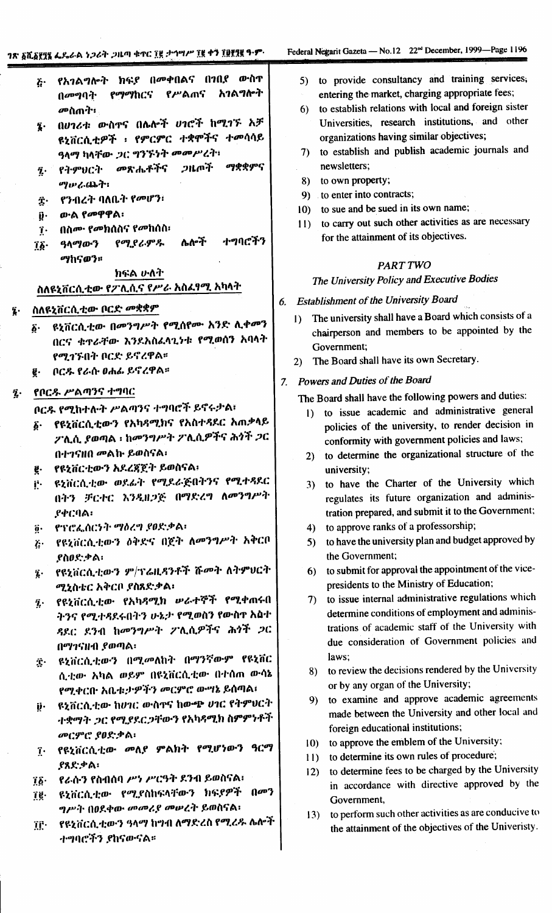- የአገልግሎት ክፍያ በመቀበልና በገቢያ ውስተ  $\boldsymbol{\tilde{G}}$  . አገልግሎት የሥልጠና የማማከርና በመግባት መስጠት፣
- በሀገሪቱ ውስዋና በሌሎች ሀገሮች ከሚገኙ አቻ  $\ddot{\mathbf{z}}$ . ዩኒቨርሲቲዎች ፡ የምርምር ተቋሞችና ተመሳሳይ ዓላማ ካላቸው ጋር ግንኙነት መመሥረት፣
- ማቋቋምና የትምህርት መጽሔቶችና *ว*น ัก  $\ddot{\mathbf{z}}$ . ツゅんぬれ
- የንብረት ባለቤት የመሆን፣ Ϋ́.
- ውል የመዋዋል፡  $\mathbf{\hat{v}}$  .
- በስሙ የመክሰስና የመከሰስ፡  $\mathbf{r}$ .
- ተግባሮችን ሌሎች የሚያራምዱ ዓላማውን  $\mathbf{\tilde{1}}\mathbf{\tilde{6}}$ . **ማከናወን።**

### ክፍል ሁለት

# ስለዩኒቨርሲቲው የፖሊሲና የሥራ አስፌፃሚ አካላት

- ስለዩኒቨርሲቲው ቦርድ መቋቋም  $\mathbf{r}$ .
	- ዩኒቨርሲቲው በመንግሥት የሚሰየሙ አንድ ሊቀመን б. በርና ቁጥራቸው እንደአስፈላጊነቱ የሚወሰን አባላት የማኅኙበት ቦርድ ይኖረዋል።
	- ቦርዱ የራሱ ዐሐፊ ይኖረዋል።  $\vec{e}$ .
- የቦርዱ ሥልጣንና ተግባር  $\overline{\mathbf{z}}$ .

ቦርዱ የሚከተሉት ሥልጣንና ተግባሮች ይኖሩታል፣

- ፩· የዩኒቨርሲቲውን የአካዳሚክና የአስተዳደር አጠቃላይ ፖሊሲ ያወጣል ፡ ከመንግሥት ፖሊሲዎችና ሕጎች *ጋ*ር በተገናዘበ መልኩ ይወስናል፡
- ፪ የዩኒቨርቲውን አደረጃጀት ይወስናል፡
- ij· ዩኒቨርሲቲው ወደፊት የሚደራጅበትንና የሚተዳደር በትን ቻርተር እንዲዘጋጅ በማድረግ ለመንግሥት ያቀርባል፡
- የፕሮፌሰርንት ማዕረግ ያፀድቃል፡  $\ddot{\theta}$ .
- የዩኒቨርሲቲውን ዕቅድና በጀት ለመንግሥት አቅርቦ  $\ddot{c}$ ያስዐድቃል፡
- የዩኒቨርሲቲውን ም/ፕሬዚዳንቶች ሹመት ለትምህርት ï. ሚኒስቴር አቅርቦ ያስጸድቃል፡
- የዩኒቨርሲቲው የአካዳሚክ ሥራተኞች የሚቀጠሩበ  $\tilde{\boldsymbol{\eta}}$  . ትንና የሚተዳደሩበትን ሁኔታ የሚወስን የውስተ አስተ ዳደር ደንብ ከመንግሥት ፖሊሲዎችና ሕጎች ጋር በማንናዙብ ያወጣል፡
- ዩኒቨርሲቲውን በሚመለከት በማንኛውም የዩኒቨር  $\mathbf{\hat{r}}$ . ሲቲው አካል ወይም በዩኒቨርሲቲው በተሰጠ ውሳኔ የሚቀርቡ አቤቱ:ታዎችን መርምሮ ውሣኔ ይሰጣል፣
- ዩኒቨርሲቲው ከሀገር ውስዋና ከውጭ ሀገር የትምህርት ij. ተቋማት ጋር የሚያደርጋቸውን የአካዳሚክ ስምምነቶች መርምሮ ያዐድቃል፡
- የዩኒቨርሲቲው መለያ ምልክት የሚሆነውን ዓርማ  $\mathbf{r}$ ያጸድቃል፡
- የራሱን የስብሰባ ሥነ ሥርዓት ደንብ ይወስናል፣ ïĝ∙
- ዩኒቨርሲቲው የሚያስከፍላቸውን ክፍያዎች በመን īğ. ግሥት በዐደቀው መመሪያ መሠረት ይወስናል፡
- የዩኒቨርሲቲውን ዓላማ ከግብ ለማድረስ የሚረዱ ሌሎች TF. ተግባሮችን ያከናውናል።
- 5) to provide consultancy and training services, entering the market, charging appropriate fees;
- 6) to establish relations with local and foreign sister Universities, research institutions, and other organizations having similar objectives;
- 7) to establish and publish academic journals and newsletters;
- 8) to own property;
- 9) to enter into contracts;
- 10) to sue and be sued in its own name:
- to carry out such other activities as are necessary  $11$ for the attainment of its objectives.

## **PART TWO**

# The University Policy and Executive Bodies

# 6. Establishment of the University Board

- 1) The university shall have a Board which consists of a chairperson and members to be appointed by the Government;
- 2) The Board shall have its own Secretary.

## 7. Powers and Duties of the Board

The Board shall have the following powers and duties:

- 1) to issue academic and administrative general policies of the university, to render decision in conformity with government policies and laws;
- 2) to determine the organizational structure of the university:
- to have the Charter of the University which  $3)$ regulates its future organization and administration prepared, and submit it to the Government;
- 4) to approve ranks of a professorship;
- 5) to have the university plan and budget approved by the Government;
- 6) to submit for approval the appointment of the vicepresidents to the Ministry of Education;
- to issue internal administrative regulations which  $\mathcal{D}$ determine conditions of employment and administrations of academic staff of the University with due consideration of Government policies and laws:
- 8) to review the decisions rendered by the University or by any organ of the University;
- to examine and approve academic agreements 9) made between the University and other local and foreign educational institutions;
- to approve the emblem of the University;  $(0)$
- 11) to determine its own rules of procedure;
- to determine fees to be charged by the University  $12)$ in accordance with directive approved by the Government,
- to perform such other activities as are conducive to  $13)$ the attainment of the objectives of the Univeristy.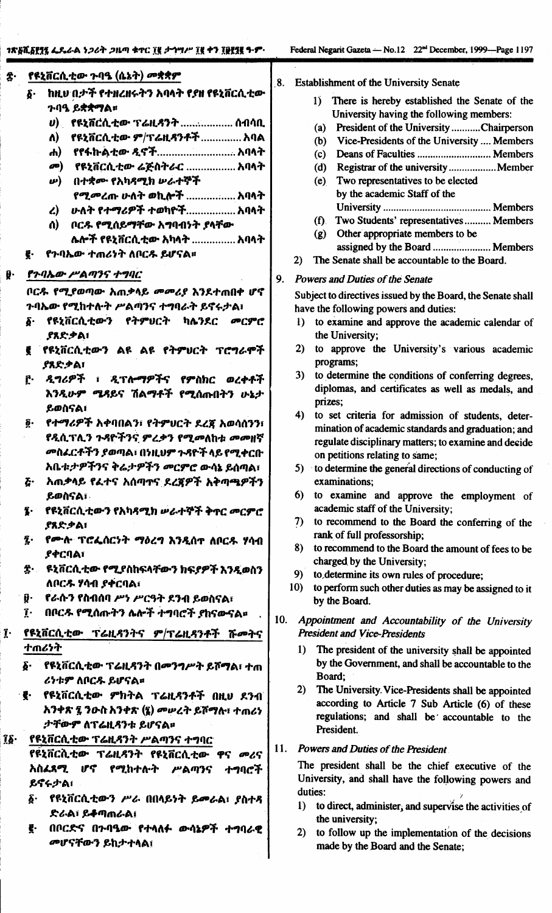|    |                             | <u>ድ·    የዩኒቨርሲቲው ጉባዔ (ሴኔት) መቋቋም</u>            |              |
|----|-----------------------------|-------------------------------------------------|--------------|
|    | $\delta$ .                  | ከዚህ በታች የተዘረዘሩትን አባላት የያዘ የዩኒቨርሲቲው              | $\epsilon$   |
|    |                             | ጉባዔ ይ <b>ቋቋማ</b> ል።                             |              |
|    |                             | U) የዩኒቨርሲቲው ፕሬዚዳንት  ሰብሳቢ                        |              |
|    |                             | ለ) የዩኒቨርሲቲው ም/ፕሬዚዳንቶች  አባል                      |              |
|    |                             | ሐ) የየፋኩልቲው ዲኖች አባላት                             |              |
|    |                             | መ) የዩኒቨርሲቲው ሬጅስትራር  አባላት                        |              |
|    |                             | <i>w</i> ) በተቋሙ የአካዳሚክ ሠራተኞች                    |              |
|    |                             | የሚመረጡ ሁለት ወኪሎች  አባላት                            |              |
|    |                             | _ሁለት የተማሪዎች ተወካዮች…………… አባላት<br>$\mathbf{z}$     |              |
|    |                             | ሰ) ወር <i>ዱ የሚ</i> ሰይማቸው አግባብነት ያላቸው             |              |
|    |                             | ሌሎች የዩኒቨርሲቲው አካላት ………… አባላት                     |              |
|    | g.                          | የጉባኤው ተጠሪነት ለቦርዱ ይሆናል።                          |              |
|    |                             |                                                 |              |
| g. |                             | የጉባኤው ሥልጣንና ተግባር                                | S            |
|    |                             | ቦርዱ የሚያወጣው አጠቃላይ መመሪያ እንደተጠበቀ ሆኖ                |              |
|    |                             | ጉባኤው የሚከተሉት ሥልጣንና ተግባራት ይኖሩታል፣                  |              |
|    |                             | <u>δ· የዩኒቨርሲቲውን የትምሀርት ካሌንደር መርምሮ</u>           |              |
|    |                             | <b>ያጸድቃል፣</b>                                   |              |
|    |                             | ፪ የዩኒቨርሲቲውን ልዩ ልዩ የትምሀርት ፕሮ <b>ግ</b> ራምች        |              |
|    |                             | ያጸድቃል፣                                          |              |
|    |                             | ፫· <i>ዲግሪዎች ፣ ዲፕሎማዎች</i> ና የምስክር ወረቀቶች          |              |
|    |                             | እንዲሁም ሜዳይና ሽልማቶች የሚሰጡበትን ሁኔታ                    |              |
|    |                             | ይወስናል፣                                          |              |
|    |                             | ፬· የተማሪዎች አቀባበልን፣ የትምሀርት ደረጃ አወሳሰንን፣            |              |
|    |                             | የዲሲፕሊን ጉዳዮችንና ምረቃን የሚመለከቱ መመዘኛ                  |              |
|    |                             | <i>መስፌርቶችን ያወጣ</i> ል፣ በንዚህም ጉዳዮች ላይ የሚቀርቡ       |              |
|    |                             | አቤቱ <i>ታዎችን</i> ና ቅሬ <i>ታዎችን መርምሮ</i> ውሳኔ ይሰጣል፣ |              |
|    | E٠                          | አጠቃላይ የፈተና አሰጣተና ደረጀዎች አቅጣጫዎችን                  |              |
|    |                             | ይወስናል፣                                          |              |
|    |                             | ፤·     የዩኒቨርሲቲውን የአካዳሚክ ሥራተኞች ቅጥር መርምሮ          |              |
|    |                             | ያጸድቃል፣                                          |              |
|    |                             | ፯·   የሙሉ ፕሮፌሰርነት ማዕረግ እንዲሰዋ ለቦርዱ ሃሳብ            |              |
|    |                             | ያቀርባል፣                                          |              |
|    |                             | ድ·     ዩኒቨርሲቲው የሚያስከፍላቸውን ከፍያዎች እንዲወስን          |              |
|    |                             | ለቦርዱ ሃሳብ ያቀርባል፣                                 |              |
|    |                             | ં ፱·    ኖራሱን የስብሰባ ሥነ ሥርዓት ደንብ ይወስናል፣           |              |
|    | $\mathbf{I}$ .              | በቦርዱ የሚሰጡትን ሌሎች ተግባሮች ያከናውናል።                   | $\mathbf{1}$ |
|    |                             | ፤· የዩኒቨርሲቲው ፕሬዚዳንትና ም/ፕሬዚዳንቶች ሹመትና              |              |
|    |                             | ተጠሪንት                                           |              |
|    |                             | ፩·     የዩኒቨርሲቲው ፕሬዚዳንት በመንግሥት ይሾማል፣ ተጠ          |              |
|    |                             | ሪነቱም ለቦርዱ ይሆናል።                                 |              |
|    |                             | · ፪·    የዩኒቨርሲቲው   ምክትል  ፕሬዚዳንቶች  በዚህ  ደንብ      |              |
|    |                             | አንቀጽ ፯ ንዑስ አንቀጽ (፯) መሥረት ይሾማሉ፣ ተጠሪነ             |              |
|    |                             | <i>ታቸውም</i> ለፕሬዚጻንቱ ይሆናል፡፡                      |              |
|    |                             | ፲፩· የዩኒቨርሲቲው ፕሬዚዳንት ሥልጣንና ተግባር                  |              |
|    |                             | የዩኒቨርሲቲው ፕሬዚዳንት የዩኒቨርሲቲው ዋና መሪና                 | $\mathbf{1}$ |
|    | አስፈጻሚ ሆኖ የሚከተሉት ሥልጣንና ተግባሮች |                                                 |              |
|    |                             | ይኖሩታል፣                                          |              |
|    |                             | ፩·    የዩኒቨርሲቲውን ሥራ  በበላይነት ይመራል፣  ያስተጻ          |              |
|    |                             | ድራል፣ ይቆጣጠራል፤                                    |              |
|    |                             | ፪· በቦርድና በንባዔው የተላለፉ ውሳኔዎች ተግባራዊ                |              |
|    |                             | መሆናቸውን ይከታተላል፤                                  |              |
|    |                             |                                                 |              |

#### **8.** Establishment of the University Senate

- There is hereby established the Senate of the  $1)$ University having the following members:
- (a) President of the University ...........Chairperson
- (b) Vice-Presidents of the University .... Members
- 
- (d) Registrar of the university ................... Member (e) Two representatives to be elected by the academic Staff of the
- (f) Two Students' representatives.......... Members
- (g) Other appropriate members to be assigned by the Board ...................... Members
- The Senate shall be accountable to the Board.  $2)$

#### **Powers and Duties of the Senate** r,

Subject to directives issued by the Board, the Senate shall have the following powers and duties:

- 1) to examine and approve the academic calendar of the University:
- 2) to approve the University's various academic programs:
- 3) to determine the conditions of conferring degrees, diplomas, and certificates as well as medals, and prizes:
- 4) to set criteria for admission of students, determination of academic standards and graduation; and regulate disciplinary matters; to examine and decide on petitions relating to same;
- 5) to determine the general directions of conducting of examinations:
- 6) to examine and approve the employment of academic staff of the University:
- 7) to recommend to the Board the conferring of the rank of full professorship;
- 8) to recommend to the Board the amount of fees to be charged by the University;
- 9) to determine its own rules of procedure;
- $10<sub>1</sub>$ to perform such other duties as may be assigned to it by the Board.
- 0. Appointment and Accountability of the University **President and Vice-Presidents** 
	- $\mathbf{D}$ The president of the university shall be appointed by the Government, and shall be accountable to the Board:
	- 2) The University. Vice-Presidents shall be appointed according to Article 7 Sub Article (6) of these regulations; and shall be accountable to the President.

### 1. Powers and Duties of the President

The president shall be the chief executive of the University, and shall have the following powers and duties:

- 1) to direct, administer, and supervise the activities of the university;
- 2) to follow up the implementation of the decisions made by the Board and the Senate;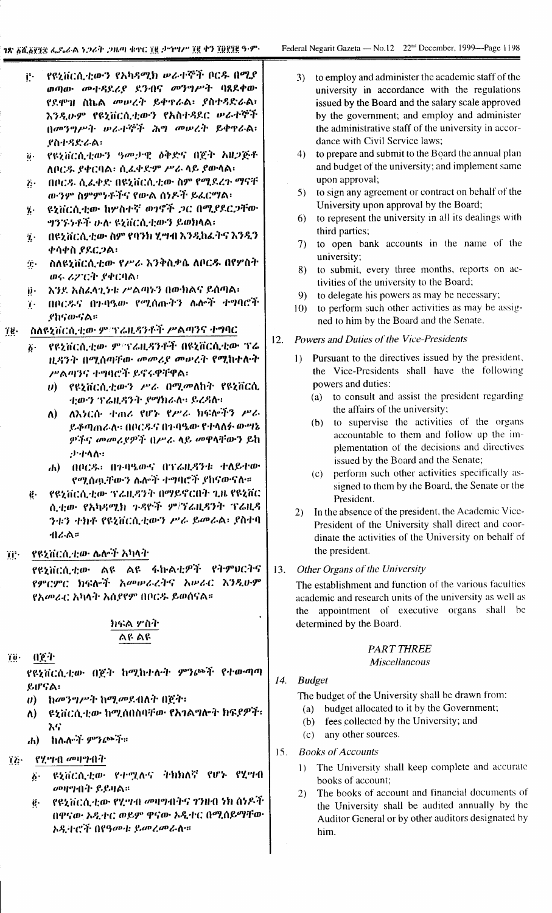### የዩኒቨርሲቲውን የአካዳሚክ ሥራተኞች ቦርዱ በሚያ i٠. ወጣው መተዳደሪያ ደንብና መንግሥት ባጸደቀው የደሞዝ ስኬል መሥረት ይቀዋራል፡ የስተዳድራል፡ እንዲሁም የዩኒቨርሲቲውን የአስተዳደር ሥራተኞች በመንግሥት ሠራተኞች ሕግ መሠረት ይቀዋራል፡ ያስተዳድራል፡

- የዩኔቨርሲቲውን ዓመታዊ ዕቅድና በጀት አዘጋጅቶ  $\dddot{\boldsymbol{\theta}}$ . ለቦርዱ ያቀርባል፡ ሲፈቀድም ሥራ ላይ ያውላል፡
- በቦርዱ ሲፈቀድ በዩኒቨርሲቲው ስም የሚደረጉ ማናቸ  $\ddot{L}$ ውንም ስምምንቶችና የውል ሰንዶች ይፈርማል፡
- ዩኒቨርሲቲው ከሦስተኛ ወንኖች ጋር በሚያደርጋቸው  $\mathbf{z}$ . *ግንኙነቶች ሁለ ዩኒ*ቨርሲቲውን ይወክላል፡
- በዩኒቨርሲቲው ስም የባንክ ሂግብ እንዲከፈትና እንዲን  $\dddot{\mathbf{z}}$ . ቀሳቀስ ያደርጋል፡
- ስለዩኒቨርሲቲው የሥራ እንቅስቃሴ ለቦርዱ በየሦስት  $\ddot{\mathbf{T}}$  . ወሩ ሪፖርት ያቀርባል፡
- እንደ አስፈላጊነቱ ሥልጣኑን በውክልና ይሰጣል፣ ij٠
- በቦርዱና በኅብዔው የሚሰጡትን ሌሎች ተግባሮች ï. የከናውናል።
- ስለዩኒቨርሲቲው ምግራዚዳንቶች ሥልጣንና ተግባር Tg.
	- የዩኒቨርሲቲው ምግኖሬዚዳንቶች በዩኒቨርሲቲው ፕሬ  $\boldsymbol{b}$ . ዜዳንት በሚሰጣቸው መመሪያ መሠረት የሚከተሉት ሥልጣንና ተግባሮች ይኖሩዋቸዋል፡
		- ||የዩኔቨርሲቲውን||ሥራ||በሚመለከት||የዩኔቨርሲ  $\boldsymbol{\theta}$ ቲውን ፕሬዚዳንት ያማክራሉ። ይረዳሉ።
		- ለእነርሱ ተጠራ የሆኑ የሥራ ክፍሎችን ሥራ Λ) -ይቆጣጠራለ። በቦርዱና በኅብዔው የተላለፉ ውሣኔ ዎችና መመሪያዎች በሥራ ላይ መዋላቸውን ይከ  $2H$   $\Lambda$
		- ሐ) በቦርዱ፡ በኅብዔውና በፕሬዚዳንቱ ተለይተው የሚሰጧቸውን ሴሎች ተግባሮች ያከናውናሉ።
	- የዩኒቨርሲቲው ፕሬዚዳንት በማይኖርበት ጊዜ የዩኒቨር ë. ሲቲው የአካዳሚክ ጉዳዮች ም/ኘሬዚዳንት ፕሬዚዳ ንቱን ተክቶ የዩኒቨርሲቲውን ሥራ ይመራል፡ ያስተባ ብራል።
- የዩኒቨርሲቲው ሌሎች አካላት Ti<sup>e</sup>
	- የዩኒቨርሲቲው ልዩ ልዩ ፋኩልቲዎች የትምሀርትና የምርምር ክፍሎች አመሠራረትና አሠራር እንዲሁም የአመራር አካላት አሲያየም በቦርዱ ይወሰናል።

## ክፍል ሦስት ልዩ ልዩ

Tö.  $0.64$ 

> የዩኒቨርሲቲው በጀት ከሚከተሉት ምንጮች የተውጣጣ ይሆናል፡

- ከመንግሥት ከሚመደብለት በጀት፡  $\boldsymbol{\theta}$
- ዩኒቨርሲቲው ከሚሰበስባቸው የአገልግሎት ክፍያዎች፡ ለ) አና
- ከሌሎች ምንጮች።  $\mathbf{d}$
- $-$  ('Z'T')  $a$ oy'T')  $a^2$  $\mathcal{U}$ 
	- ዩኒቨርሲቲው የተሟሉና ትክክለኛ የሆኑ የሂሣብ  $\ddot{\delta}$ . መዛግብት ይይዛል።
	- የዩኒቨርሲቲው የሂግብ መዋግብትና ንንዙብ ነክ ሰነዶች ġ. በዋናው አዲተር ወይም ዋናው አዲተር በሚሰይማቸው አዲትሮች በየዓመቱ ይመረመራስ።
- to employ and administer the academic staff of the  $3)$ university in accordance with the regulations issued by the Board and the salary scale approved by the government; and employ and administer the administrative staff of the university in accordance with Civil Service laws:
- 4) to prepare and submit to the Board the annual plan and budget of the university; and implement same upon approval;
- 5) to sign any agreement or contract on behalf of the University upon approval by the Board;
- 6) to represent the university in all its dealings with third parties;
- 7) to open bank accounts in the name of the university;
- to submit, every three months, reports on ac-8) tivities of the university to the Board;
- 9) to delegate his powers as may be necessary;
- 10) to perform such other activities as may be assigned to him by the Board and the Senate.

#### Powers and Duties of the Vice-Presidents  $12.$

- 1) Pursuant to the directives issued by the president, the Vice-Presidents shall have the following powers and duties:
	- (a) to consult and assist the president regarding the affairs of the university;
	- (b) to supervise the activities of the organs accountable to them and follow up the implementation of the decisions and directives issued by the Board and the Senate;
	- (c) perform such other activities specifically assigned to them by the Board, the Senate or the President.
- 2) In the absence of the president, the Academic Vice-President of the University shall direct and coordinate the activities of the University on behalf of the president.

#### $13.$ Other Organs of the University

The establishment and function of the various faculties academic and research units of the university as well as the appointment of executive organs shall be determined by the Board.

# **PART THREE**

# **Miscellaneous**

#### $14.$ **Budget**

The budget of the University shall be drawn from:

- budget allocated to it by the Government;  $(a)$
- fees collected by the University; and  $(b)$
- any other sources.  $(c)$
- $15.$ **Books of Accounts** 
	- The University shall keep complete and accurate  $\mathbf{D}$ books of account;
	- The books of account and financial documents of  $2<sub>1</sub>$ the University shall be audited annually by the Auditor General or by other auditors designated by him.